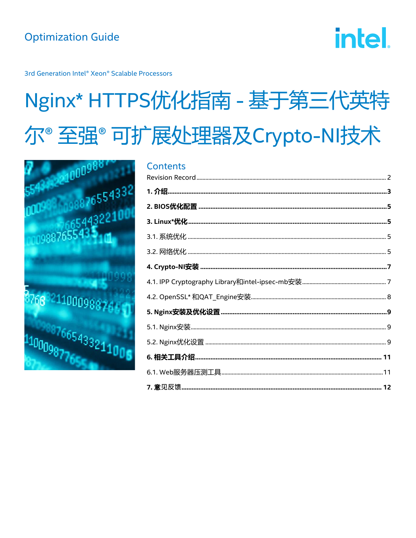**intel** 

3rd Generation Intel® Xeon® Scalable Processors

# Nginx\* HTTPS优化指南 - 基于第三代英特 尔<sup>®</sup>至强®可扩展处理器及Crypto-NI技术



# **Contents**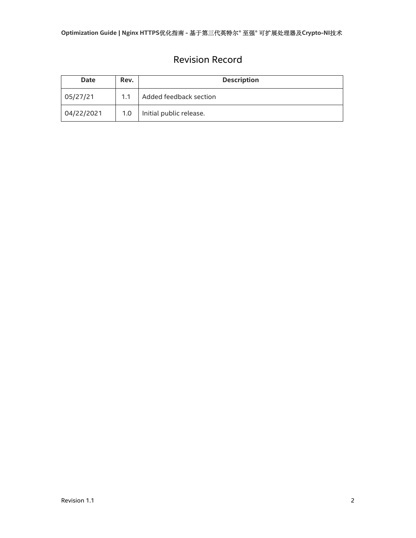## Revision Record

<span id="page-1-0"></span>

| <b>Date</b> | Rev. | <b>Description</b>      |  |
|-------------|------|-------------------------|--|
| 05/27/21    | 1.1  | Added feedback section  |  |
| 04/22/2021  | 1.0  | Initial public release. |  |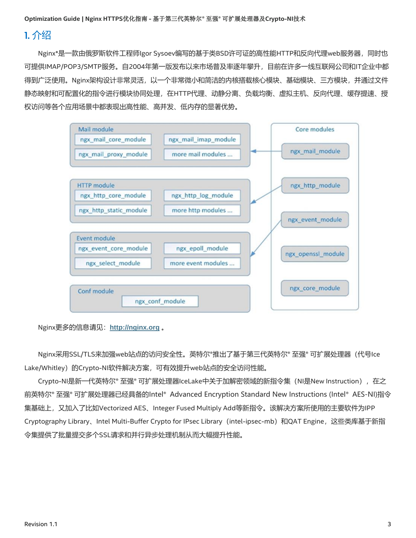## <span id="page-2-0"></span>1. 介绍

Nginx\*是一款由俄罗斯软件工程师Igor Sysoev编写的基于类BSD许可证的高性能HTTP和反向代理web服务器,同时也 可提供IMAP/POP3/SMTP服务。自2004年第一版发布以来市场普及率逐年攀升,目前在许多一线互联网公司和IT企业中都 得到广泛使用。Nginx架构设计非常灵活,以一个非常微小和简洁的内核搭载核心模块、基础模块、三方模块,并通过文件 静态映射和可配置化的指令进行模块协同处理,在HTTP代理、动静分离、负载均衡、虚拟主机、反向代理、缓存提速、授 权访问等各个应用场景中都表现出高性能、高并发、低内存的显著优势。



Nginx更多的信息请见:**http://nginx.org** 。

Nginx采用SSL/TLS来加强web站点的访问安全性。英特尔®推出了基于第三代英特尔® 至强® 可扩展处理器 (代号Ice Lake/Whitley)的Crypto-NI软件解决方案,可有效提升web站点的安全访问性能。

Crypto-NI是新一代英特尔® 至强® 可扩展处理器IceLake中关于加解密领域的新指令集 (NI是New Instruction), 在之 前英特尔® 至强® 可扩展处理器已经具备的Intel® Advanced Encryption Standard New Instructions (Intel® AES-NI)指令 集基础上,又加入了比如Vectorized AES、Integer Fused Multiply Add等新指令。该解决方案所使用的主要软件为IPP Cryptography Library、Intel Multi-Buffer Crypto for IPsec Library (intel-ipsec-mb)和QAT Engine,这些类库基于新指 令集提供了批量提交多个SSL请求和并行异步处理机制从而大幅提升性能。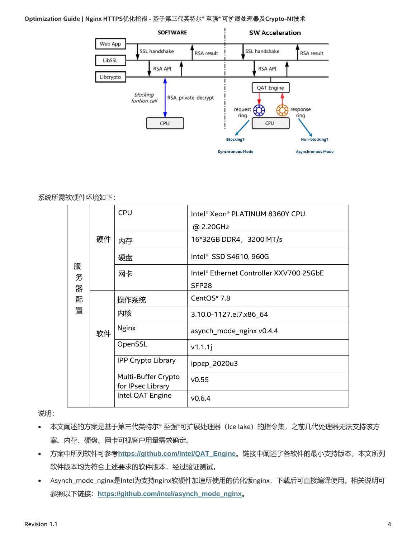

#### 系统所需软硬件环境如下:

| 服<br>务<br>器 |    | <b>CPU</b>                               | Intel® Xeon® PLATINUM 8360Y CPU         |
|-------------|----|------------------------------------------|-----------------------------------------|
|             | 硬件 |                                          | @ 2.20GHz                               |
|             |    | 内存                                       | 16*32GB DDR4, 3200 MT/s                 |
|             |    | 硬盘                                       | Intel <sup>®</sup> SSD S4610, 960G      |
|             |    | 网卡                                       | Intel® Ethernet Controller XXV700 25GbE |
|             |    |                                          | SFP <sub>28</sub>                       |
| 配<br>置      | 软件 | 操作系统                                     | CentOS* 7.8                             |
|             |    | 内核                                       | 3.10.0-1127.el7.x86 64                  |
|             |    | <b>Nginx</b>                             | asynch_mode_nginx v0.4.4                |
|             |    | OpenSSL                                  | v1.1.1j                                 |
|             |    | <b>IPP Crypto Library</b>                | ippcp_2020u3                            |
|             |    | Multi-Buffer Crypto<br>for IPsec Library | v0.55                                   |
|             |    | Intel QAT Engine                         | V0.6.4                                  |
|             |    |                                          |                                         |

说明:

- 本文阐述的方案是基于第三代英特尔® 至强®可扩展处理器(Ice lake)的指令集, 之前几代处理器无法支持该方 案。内存、硬盘、网卡可视客户用量需求确定。
- 方案中所列软件可参考**[https://github.com/intel/QAT\\_Engine](https://github.com/intel/QAT_Engine)**。链接中阐述了各软件的最小支持版本,本文所列 软件版本均为符合上述要求的软件版本,经过验证测试。
- Asynch\_mode\_nginx是Intel为支持nginx软硬件加速所使用的优化版nginx,下载后可直接编译使用。相关说明可 参照以下链接:**[https://github.com/intel/asynch\\_mode\\_nginx](https://github.com/intel/asynch_mode_nginx)**。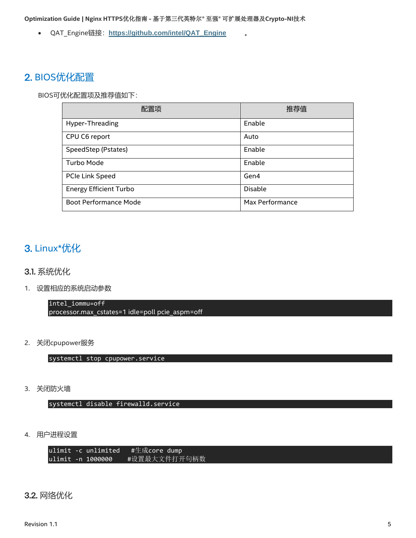• QAT\_Engine链接:**https://github.com/intel/QAT\_Engine** 。

## <span id="page-4-0"></span>2. BIOS优化配置

BIOS可优化配置项及推荐值如下:

| 配置项                           | 推荐值             |
|-------------------------------|-----------------|
| Hyper-Threading               | Enable          |
| CPU C6 report                 | Auto            |
| SpeedStep (Pstates)           | Enable          |
| Turbo Mode                    | Enable          |
| PCIe Link Speed               | Gen4            |
| <b>Energy Efficient Turbo</b> | Disable         |
| <b>Boot Performance Mode</b>  | Max Performance |

# <span id="page-4-1"></span>3. Linux\*优化

## <span id="page-4-2"></span>系统优化

1. 设置相应的系统启动参数

intel\_iommu=off processor.max\_cstates=1 idle=poll pcie\_aspm=off

2. 关闭cpupower服务

systemctl stop cpupower.service

3. 关闭防火墙

systemctl disable firewalld.service

4. 用户进程设置

|                    | ulimit -c unlimited #生成core dump |
|--------------------|----------------------------------|
| lulimit -n 1000000 | #设置最大文件打开句柄数                     |

## <span id="page-4-3"></span>3.2. 网络优化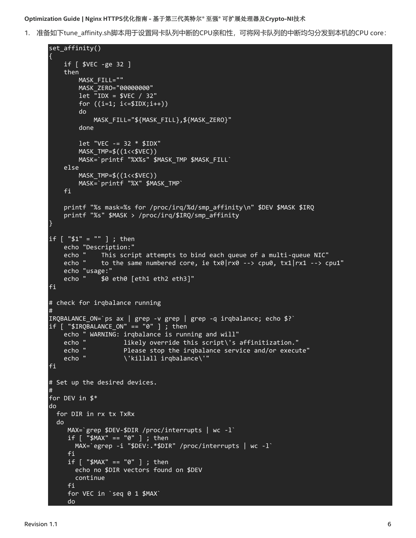1. 准备如下tune\_affinity.sh脚本用于设置网卡队列中断的CPU亲和性,可将网卡队列的中断均匀分发到本机的CPU core:

```
set_affinity()
{
     if [ $VEC -ge 32 ]
     then
         MASK FILL=""
         MASK_ZERO="00000000"
          let "IDX = $VEC / 32"
         for ((i=1; i<=$IDX;i++)do
              MASK_FILL="${MASK_FILL},${MASK_ZERO}"
          done
         let "VEC -= 32 * $IDX"
         MASK_TMP=$((1<<$VEC))
         MASK=`printf "%X%s" $MASK_TMP $MASK_FILL`
     else
          MASK_TMP=$((1<<$VEC))
         MASK=`printf "%X" $MASK_TMP`
     fi
     printf "%s mask=%s for /proc/irq/%d/smp_affinity\n" $DEV $MASK $IRQ
     printf "%s" $MASK > /proc/irq/$IRQ/smp_affinity
}
if [ "$1" = "" ] ; then
     echo "Description:"
     echo " This script attempts to bind each queue of a multi-queue NIC"<br>echo " to the same numbered core, ie tx0|xx0 - -\frac{1}{x} cpu0, tx1|xx1 - -\frac{1}{x}to the same numbered core, ie tx0|rx0 --> cpu0, tx1|rx1 --> cpu1"
     echo "usage:"<br>echo <u>"</u> $0
                $9 eth0 [eth1 eth2 eth3]"
fi
# check for irqbalance running
#
IRQBALANCE_ON=`ps ax | grep -v grep | grep -q irqbalance; echo $?`
if [ "$IRQBALANCE_ON" == "0" ] ; then
     echo " WARNING: irqbalance is running and will"<br>echo "               likely override this script\'s
     echo "             likely override this script\'s affinitization."<br>echo "               Please stop the irgbalance service and/or execu
     echo " Please stop the irqbalance service and/or execute"<br>echo " \'killall irqbalance\'"
                        \'killall irqbalance\'"
fi
# Set up the desired devices.
#
for DEV in $*
do
  for DIR in rx tx TxRx
  do
      MAX=`grep $DEV-$DIR /proc/interrupts | wc -l`
      if [ "$MAX" == "0" ] ; then
        MAX=`egrep -i "$DEV:.*$DIR" /proc/interrupts | wc -l`
      fi
      if [ "$MAX" == "0" ] ; then
        echo no $DIR vectors found on $DEV
        continue
      fi
      for VEC in `seq 0 1 $MAX`
      do
```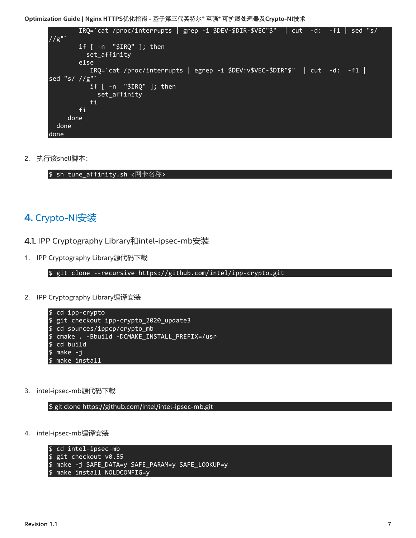|                | IRQ=`cat /proc/interrupts   grep -i \$DEV-\$DIR-\$VEC"\$"   cut -d: _-f1   sed "s/   |
|----------------|--------------------------------------------------------------------------------------|
| 1/g''          |                                                                                      |
|                | if $\lceil$ -n "\$IRQ" $\rceil$ ; then                                               |
|                | set affinity                                                                         |
|                | else                                                                                 |
|                | $IRQ='cat$ /proc/interrupts $\sqrt{q}$ egrep -i \$DEV:v\$VEC-\$DIR"\$"   cut -d: -f1 |
| sed "s/ $//g"$ |                                                                                      |
|                | if $\lceil -n \rceil$ "\$IRQ" ]; then                                                |
|                | set affinity                                                                         |
|                | fi                                                                                   |
|                | fi                                                                                   |
| done           |                                                                                      |
| done           |                                                                                      |
| done           |                                                                                      |

2. 执行该shell脚本:

\$ sh tune\_affinity.sh <网卡名称>

## <span id="page-6-0"></span>4. Crypto-NI安装

- <span id="page-6-1"></span>4.1. IPP Cryptography Library和intel-ipsec-mb安装
- 1. IPP Cryptography Library源代码下载

```
$ git clone --recursive https://github.com/intel/ipp-crypto.git
```
2. IPP Cryptography Library编译安装

```
$ cd ipp-crypto
$ git checkout ipp-crypto_2020_update3
$ cd sources/ippcp/crypto_mb
$ cmake . -Bbuild -DCMAKE_INSTALL_PREFIX=/usr
$ cd build
$ make -j
$ make install
```
3. intel-ipsec-mb源代码下载

\$ git clone<https://github.com/intel/intel-ipsec-mb.git>

4. intel-ipsec-mb编译安装

```
$ cd intel-ipsec-mb
$ git checkout v0.55
$ make -j SAFE_DATA=y SAFE_PARAM=y SAFE_LOOKUP=y
$ make install NOLDCONFIG=y
```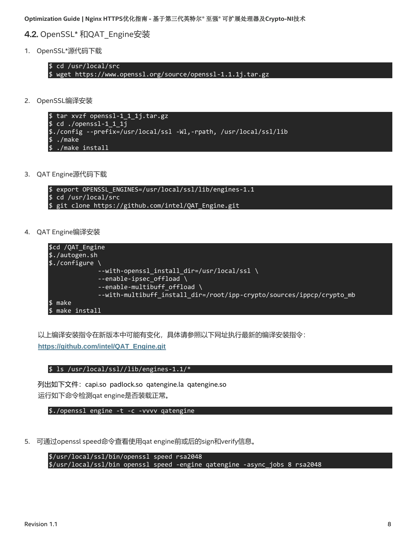<span id="page-7-0"></span>4.2. OpenSSL\* 和QAT\_Engine安装

1. OpenSSL\*源代码下载

\$ cd /usr/local/src \$ wget [https://www.openssl.org/source/openssl-1.1.1j.tar.gz](https://www.openssl.org/source/openssl-1.1.1i.tar.gz)

2. OpenSSL编译安装

```
$ tar xvzf openssl-1_1_1j.tar.gz 
$ cd ./openssl-1_1_1j
$./config --prefix=/usr/local/ssl -Wl,-rpath, /usr/local/ssl/lib
$ ./make
$ ./make install
```
3. QAT Engine源代码下载

```
$ export OPENSSL_ENGINES=/usr/local/ssl/lib/engines-1.1
$ cd /usr/local/src
$ git clone https://github.com/intel/QAT_Engine.git
```
4. QAT Engine编译安装



以上编译安装指令在新版本中可能有变化,具体请参照以下网址执行最新的编译安装指令: **[https://github.com/intel/QAT\\_Engine.git](https://github.com/intel/QAT_Engine.git)**

#### \$ ls /usr/local/ssl//lib/engines-1.1/\*

 列出如下文件:capi.so padlock.so qatengine.la qatengine.so 运行如下命令检测qat engine是否装载正常。

\$./openssl engine -t -c -vvvv qatengine

5. 可通过openssl speed命令查看使用qat engine前或后的sign和verify信息。

\$/usr/local/ssl/bin/openssl speed rsa2048 \$/usr/local/ssl/bin openssl speed -engine qatengine -async\_jobs 8 rsa2048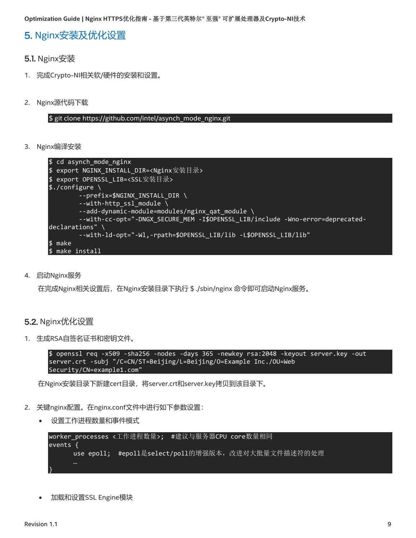<span id="page-8-0"></span>5. Nginx安装及优化设置

- <span id="page-8-1"></span>5.1. Nginx安装
- 1. 完成Crypto-NI相关软/硬件的安装和设置。
- 2. Nginx源代码下载

\$ git clone [https://github.com/intel/asynch\\_mode\\_nginx.git](https://github.com/intel/asynch_mode_nginx.git)

3. Nginx编译安装

```
$ cd asynch_mode_nginx
$ export NGINX_INSTALL_DIR=<Nginx安装目录>
$ export OPENSSL_LIB=<SSL安装目录>
$./configure \
        --prefix=$NGINX INSTALL DIR \
         --with-http_ssl_module \
        --add-dynamic-module=modules/nginx qat module \
         --with-cc-opt="-DNGX_SECURE_MEM -I$OPENSSL_LIB/include -Wno-error=deprecated-
declarations" \
         --with-ld-opt="-Wl,-rpath=$OPENSSL_LIB/lib -L$OPENSSL_LIB/lib"
$ make
$ make install
```
4. 启动Nginx服务

在完成Nginx相关设置后,在Nginx安装目录下执行 \$ ./sbin/nginx 命令即可启动Nginx服务。

#### <span id="page-8-2"></span>5.2. Nginx优化设置

1. 生成RSA自签名证书和密钥文件。

\$ openssl req -x509 -sha256 -nodes -days 365 -newkey rsa:2048 -keyout server.key -out server.crt -subj "/C=CN/ST=Beijing/L=Beijing/O=Example Inc./OU=Web Security/CN=example1.com"

在Nginx安装目录下新建cert目录,将server.crt和server.key拷贝到该目录下。

- 2. 关键nginx配置。在nginx.conf文件中进行如下参数设置:
	- 设置工作进程数量和事件模式

```
worker_processes <工作进程数量>; #建议与服务器CPU core数量相同
events {
     use epoll; #epoll是select/poll的增强版本,改进对大批量文件描述符的处理
}
```
• 加载和设置SSL Engine模块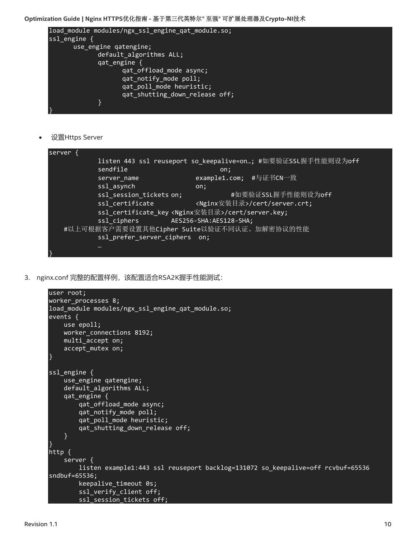```
load_module modules/ngx_ssl_engine_qat_module.so;
ssl_engine {
       use_engine qatengine;
             default_algorithms ALL;
             qat_engine {
                    qat_offload_mode async;
                    qat notify mode poll;
                    qat_poll_mode heuristic;
                    qat shutting down release off;
             }
}
```
• 设置Https Server



3. nginx.conf 完整的配置样例,该配置适合RSA2K握手性能测试:

```
user root:
worker processes 8;
load module modules/ngx_ssl_engine_qat_module.so;
events {
     use epoll;
     worker_connections 8192;
    multi accept on;
    accept mutex on;
}
ssl engine {
     use_engine qatengine;
    default algorithms ALL;
     qat_engine {
        qat offload mode async;
        qat notify mode poll;
        qat poll mode heuristic;
        qat shutting down release off;
     }
}
http {
     server {
         listen example1:443 ssl reuseport backlog=131072 so_keepalive=off rcvbuf=65536 
sndbuf=65536;
        keepalive timeout 0s;
        ssl verify client off;
         ssl_session_tickets off;
```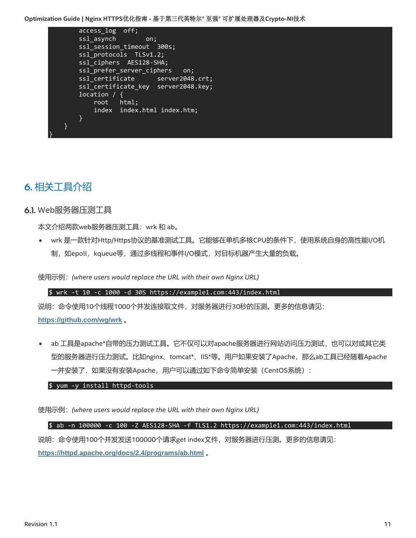

# <span id="page-10-0"></span>相关工具介绍

### <span id="page-10-1"></span>6.1. Web服务器压测工具

本文介绍两款web服务器压测工具:wrk 和 ab。

• wrk 是一款针对Http/Https协议的基准测试工具。它能够在单机多核CPU的条件下,使用系统自身的高性能I/O机 制,如epoll,kqueue等,通过多线程和事件I/O模式,对目标机器产生大量的负载。

使用示例:*(where users would replace the URL with their own Nginx URL)*

\$ wrk -t 10 -c 1000 -d 30S https://example1.com:443/index.html

说明:命令使用10个线程1000个并发连接取文件,对服务器进行30秒的压测。更多的信息请见: **<https://github.com/wg/wrk>** 。

ab 工具是apache\*自带的压力测试工具。它不仅可以对apache服务器进行网站访问压力测试, 也可以对或其它类 型的服务器进行压力测试。比如nginx、tomcat\*、IIS\*等。用户如果安装了Apache,那么ab工具已经随着Apache 一并安装了,如果没有安装Apache,用户可以通过如下命令简单安装(CentOS系统):

#### \$ yum -y install httpd-tools

使用示例:*(where users would replace the URL with their own Nginx URL)*

\$ ab -n 100000 -c 100 -Z AES128-SHA -f TLS1.2 [https://example1.com:443/index.html](https://example1.com/index.html)

说明:命令使用100个并发发送100000个请求get index文件,对服务器进行压测。更多的信息请见:

**<https://httpd.apache.org/docs/2.4/programs/ab.html>** 。